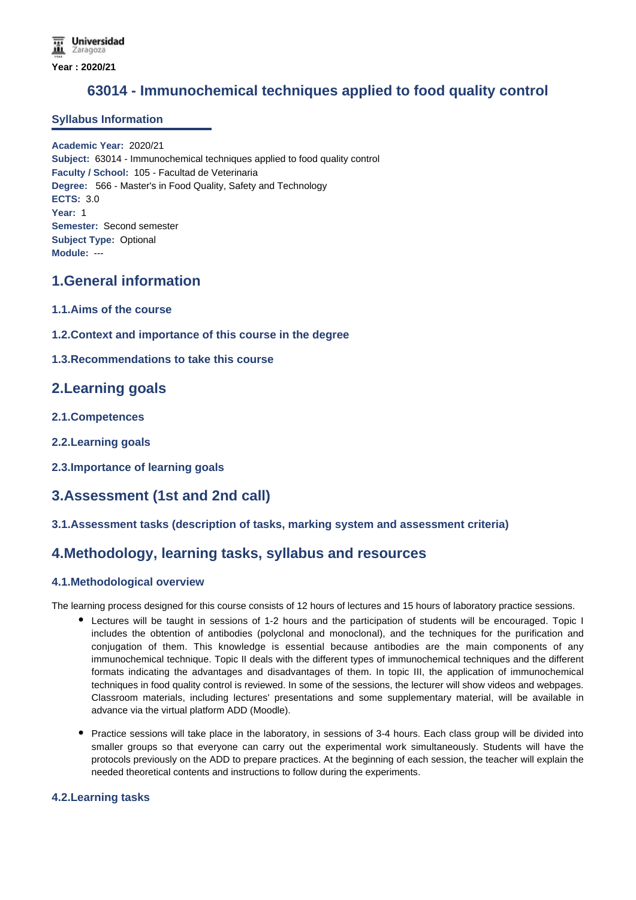# **63014 - Immunochemical techniques applied to food quality control**

## **Syllabus Information**

**Academic Year:** 2020/21 **Subject:** 63014 - Immunochemical techniques applied to food quality control **Faculty / School:** 105 - Facultad de Veterinaria **Degree:** 566 - Master's in Food Quality, Safety and Technology **ECTS:** 3.0 **Year:** 1 **Semester:** Second semester **Subject Type:** Optional **Module:** ---

# **1.General information**

- **1.1.Aims of the course**
- **1.2.Context and importance of this course in the degree**
- **1.3.Recommendations to take this course**

# **2.Learning goals**

- **2.1.Competences**
- **2.2.Learning goals**
- **2.3.Importance of learning goals**

# **3.Assessment (1st and 2nd call)**

### **3.1.Assessment tasks (description of tasks, marking system and assessment criteria)**

# **4.Methodology, learning tasks, syllabus and resources**

### **4.1.Methodological overview**

The learning process designed for this course consists of 12 hours of lectures and 15 hours of laboratory practice sessions.

- Lectures will be taught in sessions of 1-2 hours and the participation of students will be encouraged. Topic I includes the obtention of antibodies (polyclonal and monoclonal), and the techniques for the purification and conjugation of them. This knowledge is essential because antibodies are the main components of any immunochemical technique. Topic II deals with the different types of immunochemical techniques and the different formats indicating the advantages and disadvantages of them. In topic III, the application of immunochemical techniques in food quality control is reviewed. In some of the sessions, the lecturer will show videos and webpages. Classroom materials, including lectures' presentations and some supplementary material, will be available in advance via the virtual platform ADD (Moodle).
- Practice sessions will take place in the laboratory, in sessions of 3-4 hours. Each class group will be divided into smaller groups so that everyone can carry out the experimental work simultaneously. Students will have the protocols previously on the ADD to prepare practices. At the beginning of each session, the teacher will explain the needed theoretical contents and instructions to follow during the experiments.

## **4.2.Learning tasks**